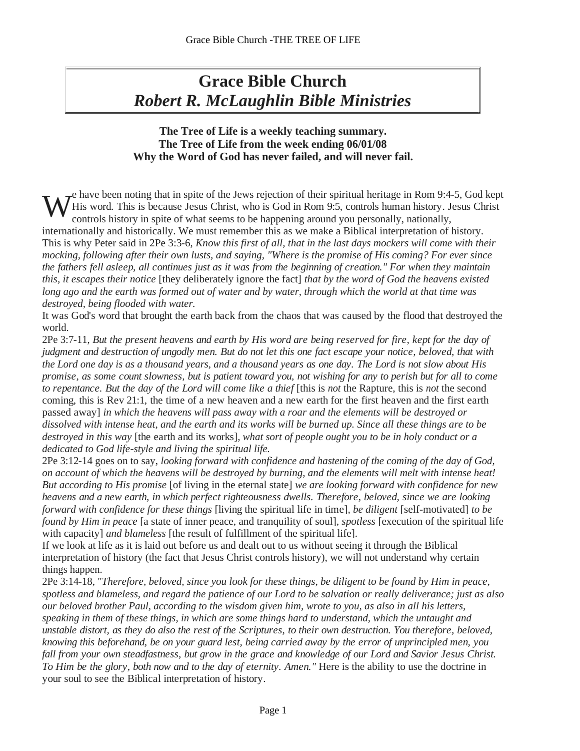# *Robert R. McLaughlin Bible Ministries*

## **The Tree of Life is a weekly teaching summary. The Tree of Life from the week ending 06/01/08 Why the Word of God has never failed, and will never fail.**

 $\tau_{\text{en}}^{\text{e}}$  have been noting that in spite of the Jews rejection of their spiritual heritage in Rom 9:4-5, God kept His word. This is because Jesus Christ, who is God in Rom 9:5, controls human history. Jesus Christ controls history in spite of what seems to be happening around you personally, nationally, We have been noting that in spite of the Jews rejection of their spiritual heritage in Rom 9:4-5, God kept<br>Controls history in spite of what seems to be happening around you personally, nationally,

internationally and historically. We must remember this as we make a Biblical interpretation of history. This is why Peter said in 2Pe 3:3-6, *Know this first of all, that in the last days mockers will come with their mocking, following after their own lusts, and saying, "Where is the promise of His coming? For ever since*  the fathers fell asleep, all continues just as it was from the beginning of creation." For when they maintain *this, it escapes their notice* [they deliberately ignore the fact] *that by the word of God the heavens existed long ago and the earth was formed out of water and by water, through which the world at that time was destroyed, being flooded with water.*

It was God's word that brought the earth back from the chaos that was caused by the flood that destroyed the world.

2Pe  $3:7-11$ , But the present heavens and earth by His word are being reserved for fire, kept for the day of judgment and destruction of ungodly men. But do not let this one fact escape your notice, beloved, that with *the Lord one day is as a thousand years, and a thousand years as one day. The Lord is not slow about His* promise, as some count slowness, but is patient toward you, not wishing for any to perish but for all to come *to repentance. But the day of the Lord will come like a thief* [this is *not* the Rapture, this is *not* the second coming, this is Rev 21:1, the time of a new heaven and a new earth for the first heaven and the first earth passed away] *in which the heavens will pass away with a roar and the elements will be destroyed or dissolved with intense heat, and the earth and its works will be burned up. Since all these things are to be destroyed in this way* [the earth and its works]*, what sort of people ought you to be in holy conduct or a dedicated to God life-style and living the spiritual life.* **Concert Biblical interpretation Concert Biblical interpretation of the see that the see the see the Biblical interpretation of the see the see the see the Biblical interpretation of the see the Historial interpretation** 

2Pe 3:12-14 goes on to say, *looking forward with confidence and hastening of the coming of the day of God, on account of which the heavens will be destroyed by burning, and the elements will melt with intense heat! But according to His promise* [of living in the eternal state] *we are looking forward with confidence for new heavens and a new earth, in which perfect righteousness dwells. Therefore, beloved, since we are looking forward with confidence for these things* [living the spiritual life in time]*, be diligent* [self-motivated] *to be found by Him in peace* [a state of inner peace, and tranquility of soul]*, spotless* [execution of the spiritual life with capacity] *and blameless* [the result of fulfillment of the spiritual life].

If we look at life as it is laid out before us and dealt out to us without seeing it through the Biblical interpretation of history (the fact that Jesus Christ controls history), we will not understand why certain things happen.

2Pe 3:14-18, "*Therefore, beloved, since you look for these things, be diligent to be found by Him in peace, spotless and blameless, and regard the patience of our Lord to be salvation or really deliverance; just as also our beloved brother Paul, according to the wisdom given him, wrote to you, as also in all his letters, speaking in them of these things, in which are some things hard to understand, which the untaught and*  unstable distort, as they do also the rest of the Scriptures, to their own destruction. You therefore, beloved, knowing this beforehand, be on your guard lest, being carried away by the error of unprincipled men, you fall from your own steadfastness, but grow in the grace and knowledge of our Lord and Savior Jesus Christ. *To Him be the glory, both now and to the day of eternity. Amen."* Here is the ability to use the doctrine in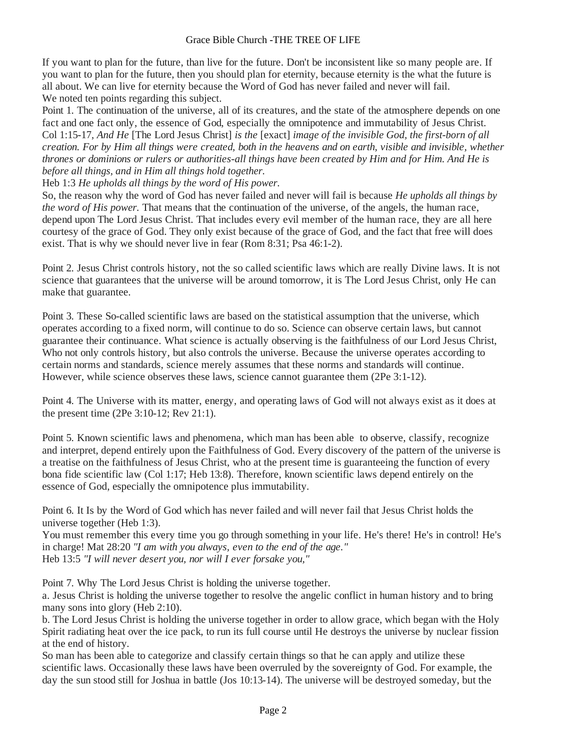If you want to plan for the future, than live for the future. Don't be inconsistent like so many people are. If you want to plan for the future, then you should plan for eternity, because eternity is the what the future is all about. We can live for eternity because the Word of God has never failed and never will fail. We noted ten points regarding this subject.

Point 1. The continuation of the universe, all of its creatures, and the state of the atmosphere depends on one fact and one fact only, the essence of God, especially the omnipotence and immutability of Jesus Christ. Col 1:15-17, *And He* [The Lord Jesus Christ] *is the* [exact] *image of the invisible God, the first-born of all*  creation. For by Him all things were created, both in the heavens and on earth, visible and invisible, whether *thrones or dominions or rulers or authorities-all things have been created by Him and for Him. And He is before all things, and in Him all things hold together.*

Heb 1:3 *He upholds all things by the word of His power.*

So, the reason why the word of God has never failed and never will fail is because *He upholds all things by the word of His power.* That means that the continuation of the universe, of the angels, the human race, depend upon The Lord Jesus Christ. That includes every evil member of the human race, they are all here courtesy of the grace of God. They only exist because of the grace of God, and the fact that free will does exist. That is why we should never live in fear (Rom 8:31; Psa 46:1-2).

Point 2. Jesus Christ controls history, not the so called scientific lawswhich are really Divine laws. It is not science that guarantees that the universe will be around tomorrow, it is The Lord Jesus Christ, only He can make that guarantee.

Point 3. These So-called scientific laws are based on the statistical assumption that the universe, which operates according to a fixed norm, will continue to do so. Science can observe certain laws, but cannot guarantee their continuance. What science is actually observing is the faithfulness of our Lord Jesus Christ, Who not only controls history, but also controls the universe. Because the universe operates according to certain norms and standards, science merely assumes that these norms and standards will continue. However, while science observes these laws, science cannot guarantee them (2Pe 3:1-12).

Point 4. The Universe with its matter, energy, and operating laws of God will not always exist as it does at the present time (2Pe 3:10-12; Rev 21:1).

Point 5. Known scientific laws and phenomena, which man has been able to observe, classify, recognize and interpret, depend entirely upon the Faithfulness of God. Every discovery of the pattern of the universe is a treatise on the faithfulness of Jesus Christ, who at the present time is guaranteeing the function of every bona fide scientific law (Col 1:17; Heb 13:8). Therefore, known scientific laws depend entirely on the essence of God, especially the omnipotence plus immutability.

Point 6. It Is by the Word of God which has never failed and will never fail that Jesus Christ holds the universe together (Heb 1:3).

You must remember this every time you go through something in your life. He's there! He's in control! He's in charge! Mat 28:20 *"I am with you always, even to the end of the age."* Heb 13:5 *"I will never desert you, nor will I ever forsake you,"*

Point 7. Why The Lord Jesus Christ is holding the universe together.

a. Jesus Christ is holding the universe together to resolve the angelic conflict in human history and to bring many sons into glory (Heb 2:10).

b. The Lord Jesus Christ is holding the universe together in order to allow grace, which began with the Holy Spirit radiating heat over the ice pack, to run its full course until He destroys the universe by nuclear fission at the end of history.

So man has been able to categorize and classify certain things so that he can apply and utilize these scientific laws. Occasionally these laws have been overruled by the sovereignty of God. For example, the day the sun stood still for Joshua in battle (Jos 10:13-14). The universe will be destroyed someday, but the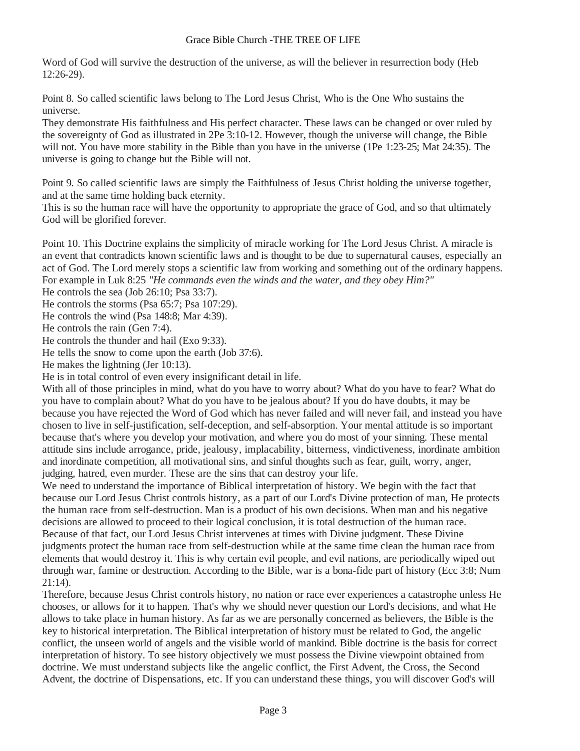Word of God will survive the destruction of the universe, as will the believer in resurrection body (Heb 12:26-29).

Point 8. So called scientific laws belong to The Lord Jesus Christ, Who is the One Who sustains the universe.

They demonstrate His faithfulness and His perfect character. These laws can be changed or over ruled by the sovereignty of God as illustrated in 2Pe 3:10-12. However, though the universe will change, the Bible will not. You have more stability in the Bible than you have in the universe (1Pe 1:23-25; Mat 24:35). The universe is going to change but the Bible will not.

Point 9. So called scientific laws are simply the Faithfulness of Jesus Christ holding the universe together, and at the same time holding back eternity.

This is so the human race will have the opportunity to appropriate the grace of God, and so that ultimately God will be glorified forever.

Point 10. This Doctrine explains the simplicity of miracle working for The Lord Jesus Christ. A miracle is an event that contradicts known scientific laws and is thought to be due to supernatural causes, especially an act of God. The Lord merely stops a scientific law from working and something out of the ordinary happens. For example in Luk 8:25 *"He commands even the winds and the water, and they obey Him?"*

He controls the sea (Job 26:10; Psa 33:7).

He controls the storms (Psa 65:7; Psa 107:29).

He controls the wind (Psa 148:8; Mar 4:39).

He controls the rain (Gen 7:4).

He controls the thunder and hail (Exo 9:33).

He tells the snow to come upon the earth (Job 37:6).

He makes the lightning (Jer 10:13).

He is in total control of even every insignificant detail in life.

With all of those principles in mind, what do you have to worry about? What do you have to fear? What do you have to complain about? What do you have to be jealous about? If you do have doubts, it may be because you have rejected the Word of God which has never failed and will never fail, and instead you have chosen to live in self-justification, self-deception, and self-absorption. Your mental attitude is so important because that's where you develop your motivation, and where you do most of your sinning. These mental attitude sins include arrogance, pride, jealousy, implacability, bitterness, vindictiveness, inordinate ambition and inordinate competition, all motivational sins, and sinful thoughts such as fear, guilt, worry, anger, judging, hatred, even murder. These are the sins that can destroy your life.

We need to understand the importance of Biblical interpretation of history. We begin with the fact that because our Lord Jesus Christ controls history, as a part of our Lord's Divine protection of man, He protects the human race from self-destruction. Man is a product of his own decisions. When man and his negative decisions are allowed to proceed to their logical conclusion, it is total destruction of the human race. Because of that fact, our Lord Jesus Christ intervenes at times with Divine judgment. These Divine judgments protect the human race from self-destruction while at the same time clean the human race from elements that would destroy it. This is why certain evil people, and evil nations, are periodically wiped out through war, famine or destruction. According to the Bible, war is a bona-fide part of history (Ecc 3:8; Num 21:14).

Therefore, because Jesus Christ controls history, no nation or race ever experiences a catastrophe unless He chooses, or allows for it to happen. That's why we should never question our Lord's decisions, and what He allows to take place in human history. As far as we are personally concerned as believers, the Bible is the key to historical interpretation. The Biblical interpretation of history must be related to God, the angelic conflict, the unseen world of angels and the visible world of mankind. Bible doctrine is the basis for correct interpretation of history. To see history objectively we must possess the Divine viewpoint obtained from doctrine. We must understand subjects like the angelic conflict, the First Advent, the Cross, the Second Advent, the doctrine of Dispensations, etc. If you can understand these things, you will discover God's will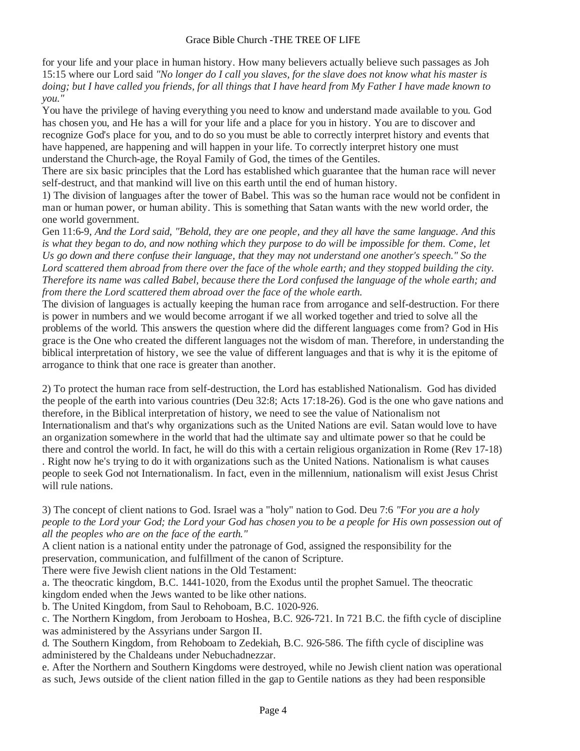for your life and your place in human history. How many believers actually believe such passages as Joh 15:15 where our Lord said *"No longer do I call you slaves, for the slave does not know what his master is doing; but I have called you friends, for all things that I have heard from My Father I have made known to you."*

You have the privilege of having everything you need to know and understand made available to you. God has chosen you, and He has a will for your life and a place for you in history. You are to discover and recognize God's place for you, and to do so you must be able to correctly interpret history and events that have happened, are happening and will happen in your life. To correctly interpret history one must understand the Church-age, the Royal Family of God, the times of the Gentiles.

There are six basic principles that the Lord has established which guarantee that the human race will never self-destruct, and that mankind will live on this earth until the end of human history.

1) The division of languages after the tower of Babel. This was so the human race would not be confident in man or human power, or human ability. This is something that Satan wants with the new world order, the one world government.

Gen 11:6-9, And the Lord said, "Behold, they are one people, and they all have the same language. And this is what they began to do, and now nothing which they purpose to do will be impossible for them. Come, let *Us go down and there confuse their language, that they may not understand one another's speech." So the Lord scattered them abroad from there over the face of the whole earth; and they stopped building the city. Therefore its name was called Babel, because there the Lord confused the language of the whole earth; and from there the Lord scattered them abroad over the face of the whole earth.*

The division of languages is actually keeping the human race from arrogance and self-destruction. For there is power in numbers and we would become arrogant if we all worked together and tried to solve all the problems of the world. This answers the question where did the different languages come from? God in His grace is the One who created the different languages not the wisdom of man. Therefore, in understanding the biblical interpretation of history, we see the value of different languages and that is why it is the epitome of arrogance to think that one race is greater than another.

2) To protect the human race from self-destruction, the Lord has established Nationalism. God has divided the people of the earth into various countries (Deu 32:8; Acts 17:18-26). God is the one who gave nations and therefore, in the Biblical interpretation of history, we need to see the value of Nationalism not Internationalism and that's why organizations such as the United Nations are evil. Satan would love to have an organization somewhere in the world that had the ultimate say and ultimate power so that he could be there and control the world. In fact, he will do this with a certain religious organization in Rome (Rev 17-18) . Right now he's trying to do it with organizations such as the United Nations. Nationalism is what causes people to seek God not Internationalism. In fact, even in the millennium, nationalism will exist Jesus Christ will rule nations.

3) The concept of client nations to God. Israel was a "holy" nation to God. Deu 7:6 *"For you are a holy*  people to the Lord your God; the Lord your God has chosen you to be a people for His own possession out of *all the peoples who are on the face of the earth."*

A client nation is a national entity under the patronage of God, assigned the responsibility for the preservation, communication, and fulfillment of the canon of Scripture.

There were five Jewish client nations in the Old Testament:

a. The theocratic kingdom, B.C. 1441-1020, from the Exodus until the prophet Samuel. The theocratic kingdom ended when the Jews wanted to be like other nations.

b. The United Kingdom, from Saul to Rehoboam, B.C. 1020-926.

c. The Northern Kingdom, from Jeroboam to Hoshea, B.C. 926-721. In 721 B.C. the fifth cycle of discipline was administered by the Assyrians under Sargon II.

d. The Southern Kingdom, from Rehoboam to Zedekiah, B.C. 926-586. The fifth cycle of discipline was administered by the Chaldeans under Nebuchadnezzar.

e. After the Northern and Southern Kingdoms were destroyed, while no Jewish client nation was operational as such, Jews outside of the client nation filled in the gap to Gentile nations as they had been responsible